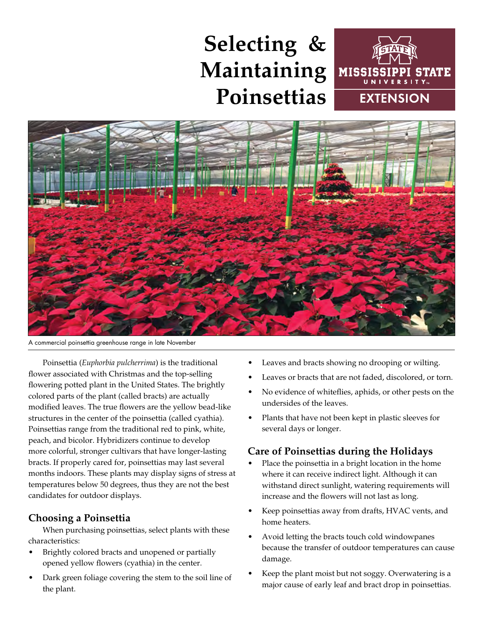# **Selecting & Maintaining Poinsettias**





A commercial poinsettia greenhouse range in late November

Poinsettia (*Euphorbia pulcherrima*) is the traditional flower associated with Christmas and the top-selling flowering potted plant in the United States. The brightly colored parts of the plant (called bracts) are actually modified leaves. The true flowers are the yellow bead-like structures in the center of the poinsettia (called cyathia). Poinsettias range from the traditional red to pink, white, peach, and bicolor. Hybridizers continue to develop more colorful, stronger cultivars that have longer-lasting bracts. If properly cared for, poinsettias may last several months indoors. These plants may display signs of stress at temperatures below 50 degrees, thus they are not the best candidates for outdoor displays.

# **Choosing a Poinsettia**

When purchasing poinsettias, select plants with these characteristics:

- Brightly colored bracts and unopened or partially opened yellow flowers (cyathia) in the center.
- Dark green foliage covering the stem to the soil line of the plant.
- Leaves and bracts showing no drooping or wilting.
- Leaves or bracts that are not faded, discolored, or torn.
- No evidence of whiteflies, aphids, or other pests on the undersides of the leaves.
- Plants that have not been kept in plastic sleeves for several days or longer.

# **Care of Poinsettias during the Holidays**

- Place the poinsettia in a bright location in the home where it can receive indirect light. Although it can withstand direct sunlight, watering requirements will increase and the flowers will not last as long.
- Keep poinsettias away from drafts, HVAC vents, and home heaters.
- Avoid letting the bracts touch cold windowpanes because the transfer of outdoor temperatures can cause damage.
- Keep the plant moist but not soggy. Overwatering is a major cause of early leaf and bract drop in poinsettias.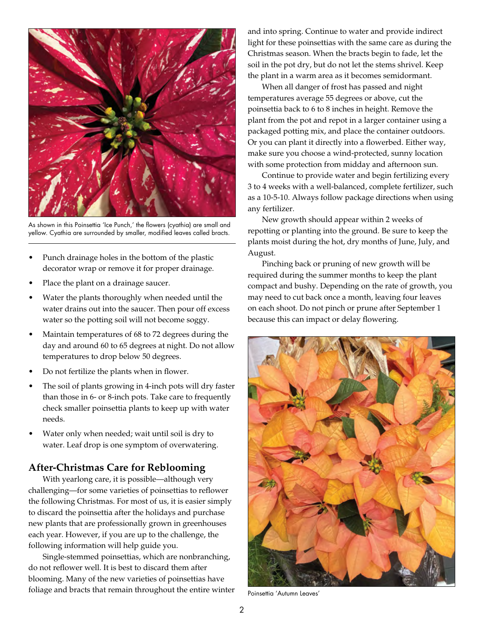

As shown in this Poinsettia 'Ice Punch,' the flowers (cyathia) are small and yellow. Cyathia are surrounded by smaller, modified leaves called bracts.

- Punch drainage holes in the bottom of the plastic decorator wrap or remove it for proper drainage.
- Place the plant on a drainage saucer.
- Water the plants thoroughly when needed until the water drains out into the saucer. Then pour off excess water so the potting soil will not become soggy.
- Maintain temperatures of 68 to 72 degrees during the day and around 60 to 65 degrees at night. Do not allow temperatures to drop below 50 degrees.
- Do not fertilize the plants when in flower.
- The soil of plants growing in 4-inch pots will dry faster than those in 6- or 8-inch pots. Take care to frequently check smaller poinsettia plants to keep up with water needs.
- Water only when needed; wait until soil is dry to water. Leaf drop is one symptom of overwatering.

## **After-Christmas Care for Reblooming**

With yearlong care, it is possible—although very challenging—for some varieties of poinsettias to reflower the following Christmas. For most of us, it is easier simply to discard the poinsettia after the holidays and purchase new plants that are professionally grown in greenhouses each year. However, if you are up to the challenge, the following information will help guide you.

Single-stemmed poinsettias, which are nonbranching, do not reflower well. It is best to discard them after blooming. Many of the new varieties of poinsettias have foliage and bracts that remain throughout the entire winter and into spring. Continue to water and provide indirect light for these poinsettias with the same care as during the Christmas season. When the bracts begin to fade, let the soil in the pot dry, but do not let the stems shrivel. Keep the plant in a warm area as it becomes semidormant.

When all danger of frost has passed and night temperatures average 55 degrees or above, cut the poinsettia back to 6 to 8 inches in height. Remove the plant from the pot and repot in a larger container using a packaged potting mix, and place the container outdoors. Or you can plant it directly into a flowerbed. Either way, make sure you choose a wind-protected, sunny location with some protection from midday and afternoon sun.

Continue to provide water and begin fertilizing every 3 to 4 weeks with a well-balanced, complete fertilizer, such as a 10-5-10. Always follow package directions when using any fertilizer.

New growth should appear within 2 weeks of repotting or planting into the ground. Be sure to keep the plants moist during the hot, dry months of June, July, and August.

Pinching back or pruning of new growth will be required during the summer months to keep the plant compact and bushy. Depending on the rate of growth, you may need to cut back once a month, leaving four leaves on each shoot. Do not pinch or prune after September 1 because this can impact or delay flowering.



Poinsettia 'Autumn Leaves'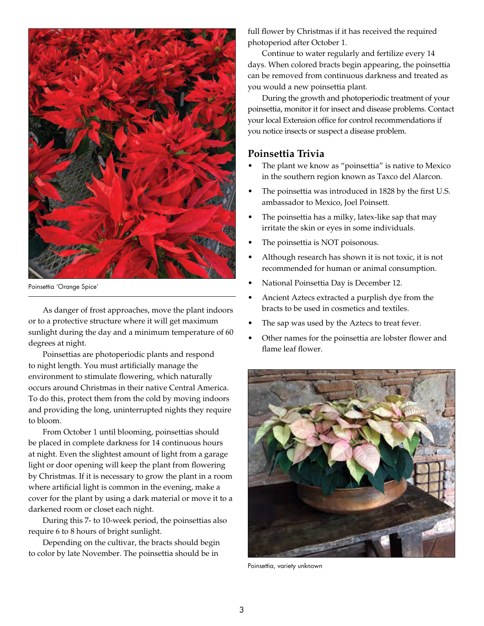

Poinsettia 'Orange Spice'

As danger of frost approaches, move the plant indoors or to a protective structure where it will get maximum sunlight during the day and a minimum temperature of 60 degrees at night.

Poinsettias are photoperiodic plants and respond to night length. You must artificially manage the environment to stimulate flowering, which naturally occurs around Christmas in their native Central America. To do this, protect them from the cold by moving indoors and providing the long, uninterrupted nights they require to bloom.

From October 1 until blooming, poinsettias should be placed in complete darkness for 14 continuous hours at night. Even the slightest amount of light from a garage light or door opening will keep the plant from flowering by Christmas. If it is necessary to grow the plant in a room where artificial light is common in the evening, make a cover for the plant by using a dark material or move it to a darkened room or closet each night.

During this 7- to 10-week period, the poinsettias also require 6 to 8 hours of bright sunlight.

Depending on the cultivar, the bracts should begin to color by late November. The poinsettia should be in

full flower by Christmas if it has received the required photoperiod after October 1.

Continue to water regularly and fertilize every 14 days. When colored bracts begin appearing, the poinsettia can be removed from continuous darkness and treated as you would a new poinsettia plant.

During the growth and photoperiodic treatment of your poinsettia, monitor it for insect and disease problems. Contact your local Extension office for control recommendations if you notice insects or suspect a disease problem.

### **Poinsettia Trivia**

- The plant we know as "poinsettia" is native to Mexico in the southern region known as Taxco del Alarcon.
- The poinsettia was introduced in 1828 by the first U.S. ambassador to Mexico, Joel Poinsett.
- The poinsettia has a milky, latex-like sap that may irritate the skin or eyes in some individuals.
- The poinsettia is NOT poisonous.
- Although research has shown it is not toxic, it is not recommended for human or animal consumption.
- National Poinsettia Day is December 12.
- Ancient Aztecs extracted a purplish dye from the bracts to be used in cosmetics and textiles.
- The sap was used by the Aztecs to treat fever.
- Other names for the poinsettia are lobster flower and flame leaf flower.



Poinsettia, variety unknown